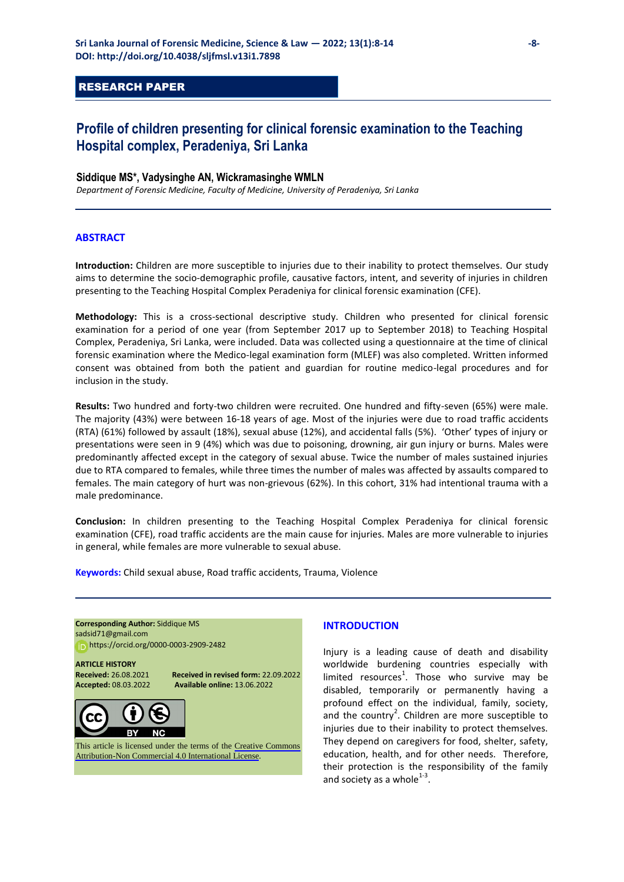# RESEARCH PAPER

# **Profile of children presenting for clinical forensic examination to the Teaching Hospital complex, Peradeniya, Sri Lanka**

## **Siddique MS\*, Vadysinghe AN, Wickramasinghe WMLN**

*Department of Forensic Medicine, Faculty of Medicine, University of Peradeniya, Sri Lanka*

## **ABSTRACT**

**Introduction:** Children are more susceptible to injuries due to their inability to protect themselves. Our study aims to determine the socio-demographic profile, causative factors, intent, and severity of injuries in children presenting to the Teaching Hospital Complex Peradeniya for clinical forensic examination (CFE).

**Methodology:** This is a cross-sectional descriptive study. Children who presented for clinical forensic examination for a period of one year (from September 2017 up to September 2018) to Teaching Hospital Complex, Peradeniya, Sri Lanka, were included. Data was collected using a questionnaire at the time of clinical forensic examination where the Medico-legal examination form (MLEF) was also completed. Written informed consent was obtained from both the patient and guardian for routine medico-legal procedures and for inclusion in the study.

**Results:** Two hundred and forty-two children were recruited. One hundred and fifty-seven (65%) were male. The majority (43%) were between 16-18 years of age. Most of the injuries were due to road traffic accidents (RTA) (61%) followed by assault (18%), sexual abuse (12%), and accidental falls (5%). 'Other' types of injury or presentations were seen in 9 (4%) which was due to poisoning, drowning, air gun injury or burns. Males were predominantly affected except in the category of sexual abuse. Twice the number of males sustained injuries due to RTA compared to females, while three times the number of males was affected by assaults compared to females. The main category of hurt was non-grievous (62%). In this cohort, 31% had intentional trauma with a male predominance.

**Conclusion:** In children presenting to the Teaching Hospital Complex Peradeniya for clinical forensic examination (CFE), road traffic accidents are the main cause for injuries. Males are more vulnerable to injuries in general, while females are more vulnerable to sexual abuse.

**Keywords:** Child sexual abuse, Road traffic accidents, Trauma, Violence

**Corresponding Author:** Siddique MS [sadsid71@gmail.com](mailto:sadsid71@gmail.com)  https[://orcid.org/0000-0003-2909-2482](https://orcid.org/0000-0003-2909-2482) 

# **ARTICLE HISTORY**

**Received:** 26.08.2021 **Received in revised form:** 22.09.2022 **Accepted:** 08.03.2022 **Available online:** 13.06.2022



This article is licensed under the terms of the [Creative Commons](https://creativecommons.org/licenses/by-nc/4.0/)  [Attribution-Non Commercial 4.0 International License](https://creativecommons.org/licenses/by-nc/4.0/).

## **INTRODUCTION**

Injury is a leading cause of death and disability worldwide burdening countries especially with limited resources<sup>1</sup>. Those who survive may be disabled, temporarily or permanently having a profound effect on the individual, family, society, and the country<sup>2</sup>. Children are more susceptible to injuries due to their inability to protect themselves. They depend on caregivers for food, shelter, safety, education, health, and for other needs. Therefore, their protection is the responsibility of the family and society as a whole $^{1-3}$ .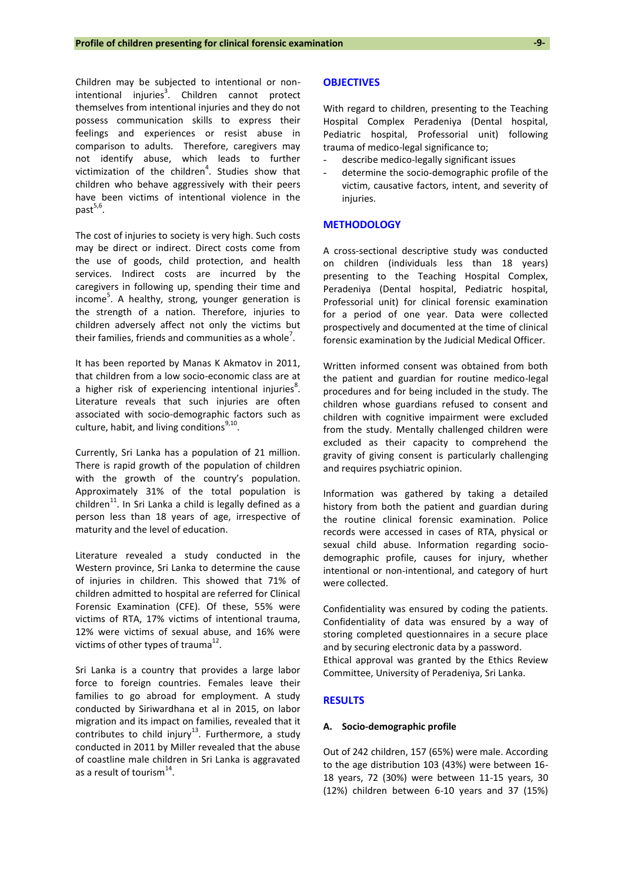Children may be subjected to intentional or nonintentional injuries<sup>3</sup>. Children cannot protect themselves from intentional injuries and they do not possess communication skills to express their feelings and experiences or resist abuse in comparison to adults. Therefore, caregivers may not identify abuse, which leads to further victimization of the children<sup>4</sup>. Studies show that children who behave aggressively with their peers have been victims of intentional violence in the past<sup>5,6</sup>.

The cost of injuries to society is very high. Such costs may be direct or indirect. Direct costs come from the use of goods, child protection, and health services. Indirect costs are incurred by the caregivers in following up, spending their time and income<sup>5</sup>. A healthy, strong, younger generation is the strength of a nation. Therefore, injuries to children adversely affect not only the victims but their families, friends and communities as a whole<sup>7</sup>.

It has been reported by Manas K Akmatov in 2011, that children from a low socio-economic class are at a higher risk of experiencing intentional injuries<sup>8</sup>. Literature reveals that such injuries are often associated with socio-demographic factors such as culture, habit, and living conditions<sup>9,10</sup>.

Currently, Sri Lanka has a population of 21 million. There is rapid growth of the population of children with the growth of the country's population. Approximately 31% of the total population is children<sup>11</sup>. In Sri Lanka a child is legally defined as a person less than 18 years of age, irrespective of maturity and the level of education.

Literature revealed a study conducted in the Western province, Sri Lanka to determine the cause of injuries in children. This showed that 71% of children admitted to hospital are referred for Clinical Forensic Examination (CFE). Of these, 55% were victims of RTA, 17% victims of intentional trauma, 12% were victims of sexual abuse, and 16% were victims of other types of trauma $^{12}$ .

Sri Lanka is a country that provides a large labor force to foreign countries. Females leave their families to go abroad for employment. A study conducted by Siriwardhana et al in 2015, on labor migration and its impact on families, revealed that it contributes to child injury<sup>13</sup>. Furthermore, a study conducted in 2011 by Miller revealed that the abuse of coastline male children in Sri Lanka is aggravated as a result of tourism $^{14}$ .

#### **OBJECTIVES**

With regard to children, presenting to the Teaching Hospital Complex Peradeniya (Dental hospital, Pediatric hospital, Professorial unit) following trauma of medico-legal significance to;

- describe medico-legally significant issues
- determine the socio-demographic profile of the victim, causative factors, intent, and severity of injuries.

## **METHODOLOGY**

A cross-sectional descriptive study was conducted on children (individuals less than 18 years) presenting to the Teaching Hospital Complex, Peradeniya (Dental hospital, Pediatric hospital, Professorial unit) for clinical forensic examination for a period of one year. Data were collected prospectively and documented at the time of clinical forensic examination by the Judicial Medical Officer.

Written informed consent was obtained from both the patient and guardian for routine medico-legal procedures and for being included in the study. The children whose guardians refused to consent and children with cognitive impairment were excluded from the study. Mentally challenged children were excluded as their capacity to comprehend the gravity of giving consent is particularly challenging and requires psychiatric opinion.

Information was gathered by taking a detailed history from both the patient and guardian during the routine clinical forensic examination. Police records were accessed in cases of RTA, physical or sexual child abuse. Information regarding sociodemographic profile, causes for injury, whether intentional or non-intentional, and category of hurt were collected.

Confidentiality was ensured by coding the patients. Confidentiality of data was ensured by a way of storing completed questionnaires in a secure place and by securing electronic data by a password. Ethical approval was granted by the Ethics Review Committee, University of Peradeniya, Sri Lanka.

## **RESULTS**

#### **A. Socio-demographic profile**

Out of 242 children, 157 (65%) were male. According to the age distribution 103 (43%) were between 16- 18 years, 72 (30%) were between 11-15 years, 30 (12%) children between 6-10 years and 37 (15%)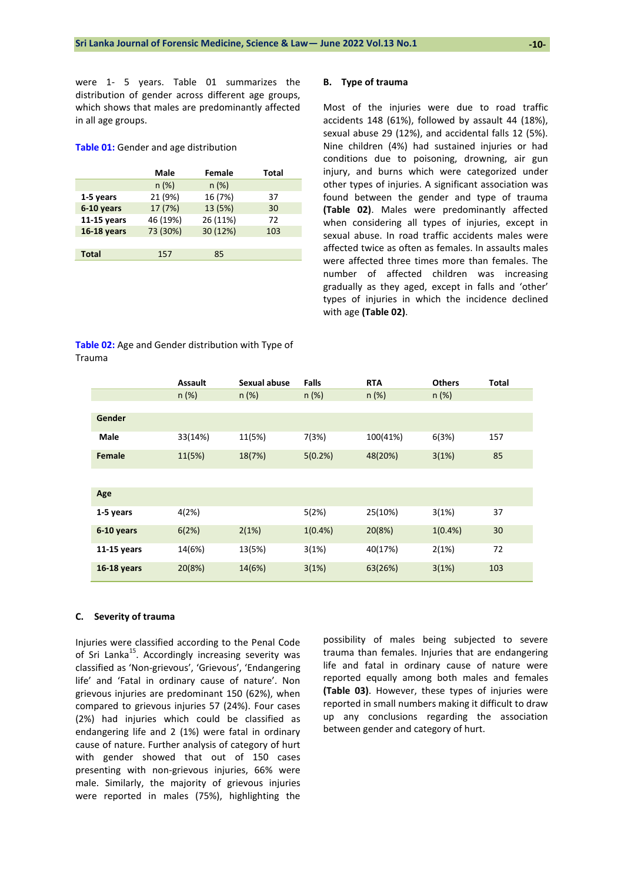were 1- 5 years. Table 01 summarizes the distribution of gender across different age groups, which shows that males are predominantly affected in all age groups.

#### **Table 01:** Gender and age distribution

|               | Male     | Female   | Total |
|---------------|----------|----------|-------|
|               | $n (\%)$ | n(%)     |       |
| 1-5 years     | 21 (9%)  | 16 (7%)  | 37    |
| 6-10 years    | 17 (7%)  | 13 (5%)  | 30    |
| $11-15$ years | 46 (19%) | 26 (11%) | 72    |
| 16-18 years   | 73 (30%) | 30 (12%) | 103   |
|               |          |          |       |
| <b>Total</b>  | 157      | 85       |       |

**Table 02:** Age and Gender distribution with Type of

#### **B. Type of trauma**

Most of the injuries were due to road traffic accidents 148 (61%), followed by assault 44 (18%), sexual abuse 29 (12%), and accidental falls 12 (5%). Nine children (4%) had sustained injuries or had conditions due to poisoning, drowning, air gun injury, and burns which were categorized under other types of injuries. A significant association was found between the gender and type of trauma **(Table 02)**. Males were predominantly affected when considering all types of injuries, except in sexual abuse. In road traffic accidents males were affected twice as often as females. In assaults males were affected three times more than females. The number of affected children was increasing gradually as they aged, except in falls and 'other' types of injuries in which the incidence declined with age **(Table 02)**.

|               | <b>Assault</b> | Sexual abuse | Falls      | <b>RTA</b> | <b>Others</b> | Total |
|---------------|----------------|--------------|------------|------------|---------------|-------|
|               | $n (\%)$       | $n (\%)$     | $n (\%)$   | $n (\%)$   | $n (\%)$      |       |
|               |                |              |            |            |               |       |
| Gender        |                |              |            |            |               |       |
| <b>Male</b>   | 33(14%)        | 11(5%)       | 7(3%)      | 100(41%)   | 6(3%)         | 157   |
| Female        | 11(5%)         | 18(7%)       | 5(0.2%)    | 48(20%)    | 3(1%)         | 85    |
|               |                |              |            |            |               |       |
| Age           |                |              |            |            |               |       |
| 1-5 years     | 4(2%)          |              | 5(2%)      | 25(10%)    | 3(1%)         | 37    |
| 6-10 years    | 6(2%)          | 2(1%)        | $1(0.4\%)$ | 20(8%)     | $1(0.4\%)$    | 30    |
| $11-15$ years | 14(6%)         | 13(5%)       | 3(1%)      | 40(17%)    | 2(1%)         | 72    |
| 16-18 years   | 20(8%)         | 14(6%)       | 3(1%)      | 63(26%)    | 3(1%)         | 103   |

#### **C. Severity of trauma**

Trauma

Injuries were classified according to the Penal Code of Sri Lanka<sup>15</sup>. Accordingly increasing severity was classified as 'Non-grievous', 'Grievous', 'Endangering life' and 'Fatal in ordinary cause of nature'. Non grievous injuries are predominant 150 (62%), when compared to grievous injuries 57 (24%). Four cases (2%) had injuries which could be classified as endangering life and 2 (1%) were fatal in ordinary cause of nature. Further analysis of category of hurt with gender showed that out of 150 cases presenting with non-grievous injuries, 66% were male. Similarly, the majority of grievous injuries were reported in males (75%), highlighting the possibility of males being subjected to severe trauma than females. Injuries that are endangering life and fatal in ordinary cause of nature were reported equally among both males and females **(Table 03)**. However, these types of injuries were reported in small numbers making it difficult to draw up any conclusions regarding the association between gender and category of hurt.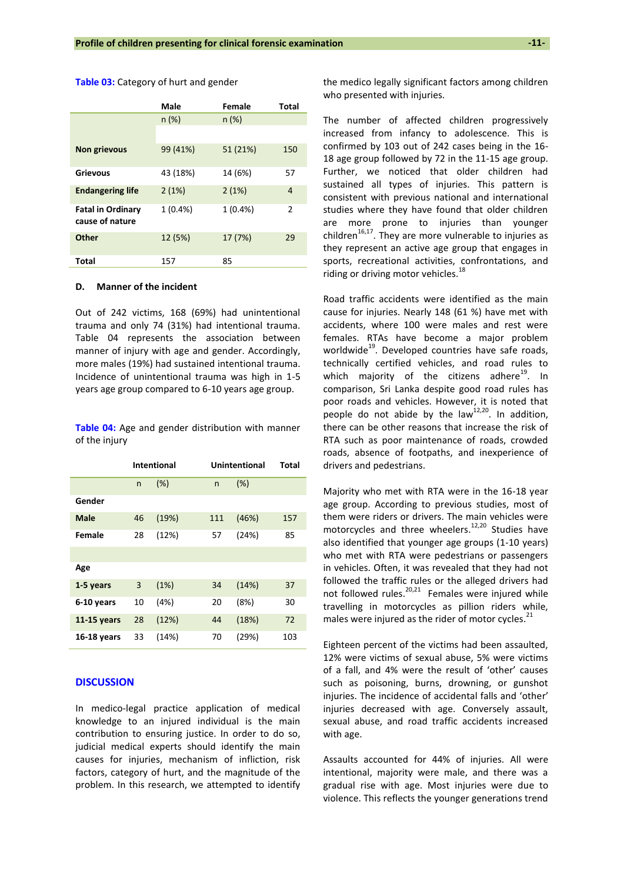|                                             | Male       | Female     | <b>Total</b> |
|---------------------------------------------|------------|------------|--------------|
|                                             | $n (\%)$   | n(%)       |              |
|                                             |            |            |              |
| Non grievous                                | 99 (41%)   | 51 (21%)   | 150          |
| <b>Grievous</b>                             | 43 (18%)   | 14 (6%)    | 57           |
| <b>Endangering life</b>                     | 2(1%)      | 2(1%)      | 4            |
| <b>Fatal in Ordinary</b><br>cause of nature | $1(0.4\%)$ | $1(0.4\%)$ | 2            |
| <b>Other</b>                                | 12 (5%)    | 17 (7%)    | 29           |
| Total                                       | 157        | 85         |              |

**Table 03:** Category of hurt and gender

#### **D. Manner of the incident**

Out of 242 victims, 168 (69%) had unintentional trauma and only 74 (31%) had intentional trauma. Table 04 represents the association between manner of injury with age and gender. Accordingly, more males (19%) had sustained intentional trauma. Incidence of unintentional trauma was high in 1-5 years age group compared to 6-10 years age group.

**Table 04:** Age and gender distribution with manner of the injury

|               |    | <b>Intentional</b> |     | <b>Unintentional</b> | Total |
|---------------|----|--------------------|-----|----------------------|-------|
|               | n  | (% )               | n   | (% )                 |       |
| Gender        |    |                    |     |                      |       |
| <b>Male</b>   | 46 | (19%)              | 111 | (46%)                | 157   |
| Female        | 28 | (12%)              | 57  | (24%)                | 85    |
|               |    |                    |     |                      |       |
| Age           |    |                    |     |                      |       |
| 1-5 years     | 3  | (1%)               | 34  | (14%)                | 37    |
| 6-10 years    | 10 | (4%)               | 20  | (8%)                 | 30    |
| $11-15$ years | 28 | (12%)              | 44  | (18%)                | 72    |
| 16-18 years   | 33 | (14%)              | 70  | (29%)                | 103   |

## **DISCUSSION**

In medico-legal practice application of medical knowledge to an injured individual is the main contribution to ensuring justice. In order to do so, judicial medical experts should identify the main causes for injuries, mechanism of infliction, risk factors, category of hurt, and the magnitude of the problem. In this research, we attempted to identify the medico legally significant factors among children who presented with injuries.

The number of affected children progressively increased from infancy to adolescence. This is confirmed by 103 out of 242 cases being in the 16- 18 age group followed by 72 in the 11-15 age group. Further, we noticed that older children had sustained all types of injuries. This pattern is consistent with previous national and international studies where they have found that older children are more prone to injuries than younger children $16,17$ . They are more vulnerable to injuries as they represent an active age group that engages in sports, recreational activities, confrontations, and riding or driving motor vehicles.<sup>18</sup>

Road traffic accidents were identified as the main cause for injuries. Nearly 148 (61 %) have met with accidents, where 100 were males and rest were females. RTAs have become a major problem worldwide $^{19}$ . Developed countries have safe roads, technically certified vehicles, and road rules to which majority of the citizens adhere<sup>19</sup>. In comparison, Sri Lanka despite good road rules has poor roads and vehicles. However, it is noted that people do not abide by the  $law<sup>12,20</sup>$ . In addition, there can be other reasons that increase the risk of RTA such as poor maintenance of roads, crowded roads, absence of footpaths, and inexperience of drivers and pedestrians.

Majority who met with RTA were in the 16-18 year age group. According to previous studies, most of them were riders or drivers. The main vehicles were motorcycles and three wheelers.<sup>12,20</sup> Studies have also identified that younger age groups (1-10 years) who met with RTA were pedestrians or passengers in vehicles. Often, it was revealed that they had not followed the traffic rules or the alleged drivers had not followed rules.<sup>20,21</sup> Females were injured while travelling in motorcycles as pillion riders while, males were injured as the rider of motor cycles.<sup>21</sup>

Eighteen percent of the victims had been assaulted, 12% were victims of sexual abuse, 5% were victims of a fall, and 4% were the result of 'other' causes such as poisoning, burns, drowning, or gunshot injuries. The incidence of accidental falls and 'other' injuries decreased with age. Conversely assault, sexual abuse, and road traffic accidents increased with age.

Assaults accounted for 44% of injuries. All were intentional, majority were male, and there was a gradual rise with age. Most injuries were due to violence. This reflects the younger generations trend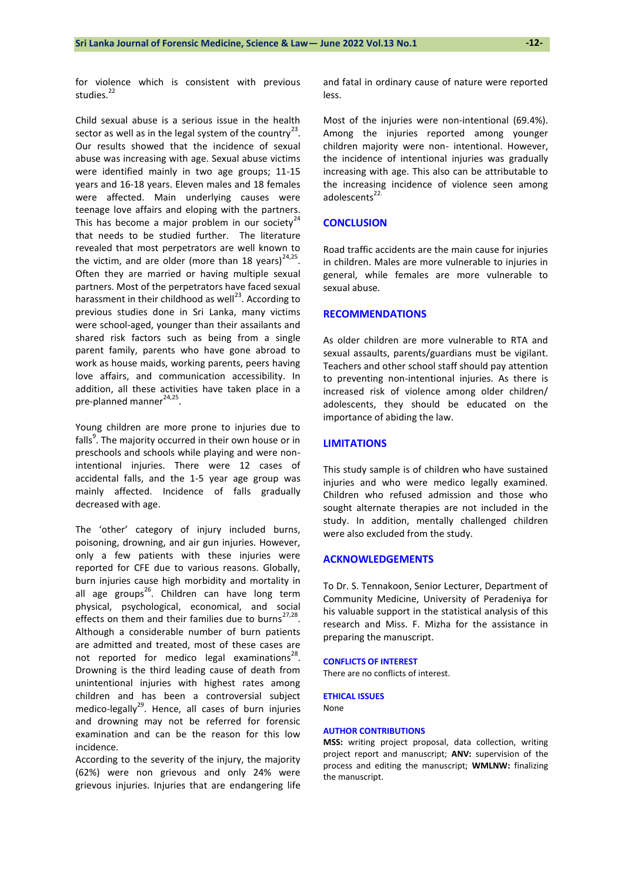**-12-**

for violence which is consistent with previous studies.<sup>22</sup>

Child sexual abuse is a serious issue in the health sector as well as in the legal system of the country<sup>23</sup>. Our results showed that the incidence of sexual abuse was increasing with age. Sexual abuse victims were identified mainly in two age groups; 11-15 years and 16-18 years. Eleven males and 18 females were affected. Main underlying causes were teenage love affairs and eloping with the partners. This has become a major problem in our society<sup>24</sup> that needs to be studied further. The literature revealed that most perpetrators are well known to the victim, and are older (more than 18 years) $^{24,25}$ . Often they are married or having multiple sexual partners. Most of the perpetrators have faced sexual harassment in their childhood as well<sup>23</sup>. According to previous studies done in Sri Lanka, many victims were school-aged, younger than their assailants and shared risk factors such as being from a single parent family, parents who have gone abroad to work as house maids, working parents, peers having love affairs, and communication accessibility. In addition, all these activities have taken place in a pre-planned manner<sup>24,25</sup>.

Young children are more prone to injuries due to falls<sup>9</sup>. The majority occurred in their own house or in preschools and schools while playing and were nonintentional injuries. There were 12 cases of accidental falls, and the 1-5 year age group was mainly affected. Incidence of falls gradually decreased with age.

The 'other' category of injury included burns, poisoning, drowning, and air gun injuries. However, only a few patients with these injuries were reported for CFE due to various reasons. Globally, burn injuries cause high morbidity and mortality in all age groups<sup>26</sup>. Children can have long term physical, psychological, economical, and social effects on them and their families due to burns<sup>27,28</sup>. Although a considerable number of burn patients are admitted and treated, most of these cases are not reported for medico legal examinations $^{28}$ . Drowning is the third leading cause of death from unintentional injuries with highest rates among children and has been a controversial subject medico-legally<sup>29</sup>. Hence, all cases of burn injuries and drowning may not be referred for forensic examination and can be the reason for this low incidence.

According to the severity of the injury, the majority (62%) were non grievous and only 24% were grievous injuries. Injuries that are endangering life and fatal in ordinary cause of nature were reported less.

Most of the injuries were non-intentional (69.4%). Among the injuries reported among younger children majority were non- intentional. However, the incidence of intentional injuries was gradually increasing with age. This also can be attributable to the increasing incidence of violence seen among adolescents $22$ .

## **CONCLUSION**

Road traffic accidents are the main cause for injuries in children. Males are more vulnerable to injuries in general, while females are more vulnerable to sexual abuse.

### **RECOMMENDATIONS**

As older children are more vulnerable to RTA and sexual assaults, parents/guardians must be vigilant. Teachers and other school staff should pay attention to preventing non-intentional injuries. As there is increased risk of violence among older children/ adolescents, they should be educated on the importance of abiding the law.

#### **LIMITATIONS**

This study sample is of children who have sustained injuries and who were medico legally examined. Children who refused admission and those who sought alternate therapies are not included in the study. In addition, mentally challenged children were also excluded from the study.

#### **ACKNOWLEDGEMENTS**

To Dr. S. Tennakoon, Senior Lecturer, Department of Community Medicine, University of Peradeniya for his valuable support in the statistical analysis of this research and Miss. F. Mizha for the assistance in preparing the manuscript.

#### **CONFLICTS OF INTEREST**

There are no conflicts of interest.

## **ETHICAL ISSUES**

None

#### **AUTHOR CONTRIBUTIONS**

**MSS:** writing project proposal, data collection, writing project report and manuscript; **ANV:** supervision of the process and editing the manuscript; **WMLNW:** finalizing the manuscript.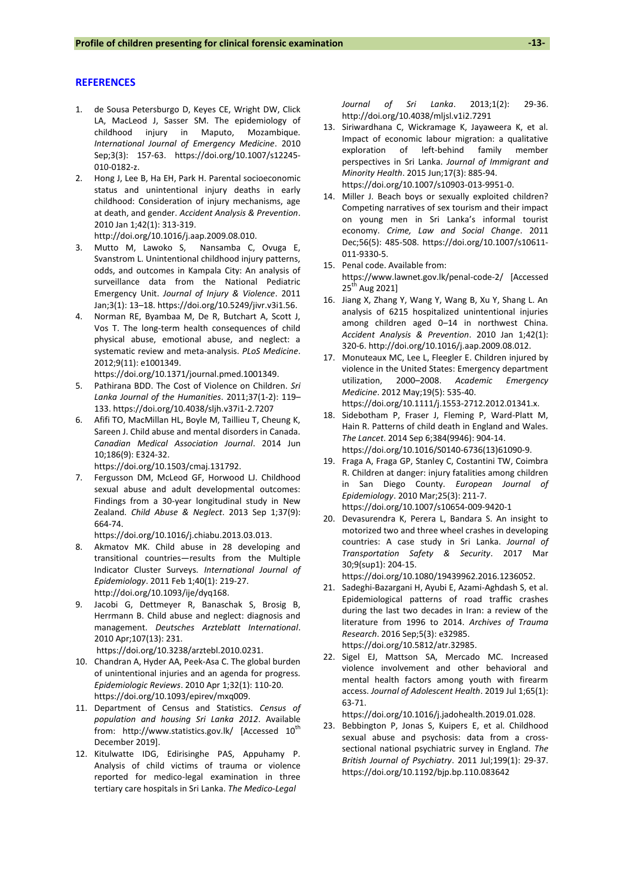#### **REFERENCES**

- 1. de Sousa Petersburgo D, Keyes CE, Wright DW, Click LA, MacLeod J, Sasser SM. The epidemiology of childhood injury in Maputo, Mozambique. *International Journal of Emergency Medicine*. 2010 Sep;3(3): 157-63. [https://doi.org/10.1007/s12245-](https://doi.org/10.1007/s12245-010-0182-z) [010-0182-z.](https://doi.org/10.1007/s12245-010-0182-z)
- 2. Hong J, Lee B, Ha EH, Park H. Parental socioeconomic status and unintentional injury deaths in early childhood: Consideration of injury mechanisms, age at death, and gender. *Accident Analysis & Prevention*. 2010 Jan 1;42(1): 313-319. [http://doi.org/10.1016/j.aap.2009.08.010.](http://doi.org/10.1016/j.aap.2009.08.010)
- 3. Mutto M, Lawoko S, Nansamba C, Ovuga E, Svanstrom L. Unintentional childhood injury patterns, odds, and outcomes in Kampala City: An analysis of surveillance data from the National Pediatric Emergency Unit. *Journal of Injury & Violence*. 2011 Jan;3(1): 13–18[. https://doi.org/10.5249/jivr.v3i1.56.](https://doi.org/10.5249/jivr.v3i1.56)
- 4. Norman RE, Byambaa M, De R, Butchart A, Scott J, Vos T. The long-term health consequences of child physical abuse, emotional abuse, and neglect: a systematic review and meta-analysis. *PLoS Medicine*. 2012;9(11): e1001349.

[https://doi.org/10.1371/journal.pmed.1001349.](https://doi.org/10.1371/journal.pmed.1001349) 

- 5. Pathirana BDD. The Cost of Violence on Children. *Sri Lanka Journal of the Humanities*. 2011;37(1-2): 119– 133. <https://doi.org/10.4038/sljh.v37i1-2.7207>
- 6. Afifi TO, MacMillan HL, Boyle M, Taillieu T, Cheung K, Sareen J. Child abuse and mental disorders in Canada. *Canadian Medical Association Journal*. 2014 Jun 10;186(9): E324-32.

[https://doi.org/10.1503/cmaj.131792.](https://doi.org/10.1503/cmaj.131792)

7. Fergusson DM, McLeod GF, Horwood LJ. Childhood sexual abuse and adult developmental outcomes: Findings from a 30-year longitudinal study in New Zealand. *Child Abuse & Neglect*. 2013 Sep 1;37(9): 664-74.

[https://doi.org/10.1016/j.chiabu.2013.03.013.](https://doi.org/10.1016/j.chiabu.2013.03.013)

- 8. Akmatov MK. Child abuse in 28 developing and transitional countries—results from the Multiple Indicator Cluster Surveys. *International Journal of Epidemiology*. 2011 Feb 1;40(1): 219-27. [http://doi.org/10.1093/ije/dyq168.](http://doi.org/10.1093/ije/dyq168)
- 9. Jacobi G, Dettmeyer R, Banaschak S, Brosig B, Herrmann B. Child abuse and neglect: diagnosis and management. *Deutsches Arzteblatt International*. 2010 Apr;107(13): 231.

[https://doi.org/10.3238/arztebl.2010.0231.](https://doi.org/10.3238/arztebl.2010.0231)

- 10. Chandran A, Hyder AA, Peek-Asa C. The global burden of unintentional injuries and an agenda for progress. *Epidemiologic Reviews*. 2010 Apr 1;32(1): 110-20. [https://doi.org/10.1093/epirev/mxq009.](https://doi.org/10.1093/epirev/mxq009)
- 11. Department of Census and Statistics. *Census of population and housing Sri Lanka 2012*. Available from: <http://www.statistics.gov.lk/> [Accessed 10<sup>th</sup> December 2019].
- 12. Kitulwatte IDG, Edirisinghe PAS, Appuhamy P. Analysis of child victims of trauma or violence reported for medico-legal examination in three tertiary care hospitals in Sri Lanka. *The Medico-Legal*

*Journal of Sri Lanka*. 2013;1(2): 29-36. <http://doi.org/10.4038/mljsl.v1i2.7291>

- 13. Siriwardhana C, Wickramage K, Jayaweera K, et al. Impact of economic labour migration: a qualitative exploration of left-behind family member perspectives in Sri Lanka. *Journal of Immigrant and Minority Health*. 2015 Jun;17(3): 885-94. [https://doi.org/10.1007/s10903-013-9951-0.](https://doi.org/10.1007/s10903-013-9951-0)
- 14. Miller J. Beach boys or sexually exploited children? Competing narratives of sex tourism and their impact on young men in Sri Lanka's informal tourist economy. *Crime, Law and Social Change*. 2011 Dec;56(5): 485-508. [https://doi.org/10.1007/s10611-](https://doi.org/10.1007/s10611-011-9330-5) [011-9330-5.](https://doi.org/10.1007/s10611-011-9330-5)
- 15. Penal code. Available from: <https://www.lawnet.gov.lk/penal-code-2/> [Accessed  $25<sup>tn</sup>$  Aug 2021]
- 16. Jiang X, Zhang Y, Wang Y, Wang B, Xu Y, Shang L. An analysis of 6215 hospitalized unintentional injuries among children aged 0–14 in northwest China. *Accident Analysis & Prevention*. 2010 Jan 1;42(1): 320-6. [http://doi.org/10.1016/j.aap.2009.08.012.](http://doi.org/10.1016/j.aap.2009.08.012)
- 17. Monuteaux MC, Lee L, Fleegler E. Children injured by violence in the United States: Emergency department utilization, 2000–2008. *Academic Emergency Medicine*. 2012 May;19(5): 535-40. [https://doi.org/10.1111/j.1553-2712.2012.01341.x.](https://doi.org/10.1111/j.1553-2712.2012.01341.x)
- 18. Sidebotham P, Fraser J, Fleming P, Ward-Platt M, Hain R. Patterns of child death in England and Wales. *The Lancet*. 2014 Sep 6;384(9946): 904-14. [https://doi.org/10.1016/S0140-6736\(13\)61090-9.](https://doi.org/10.1016/S0140-6736(13)61090-9)
- 19. Fraga A, Fraga GP, Stanley C, Costantini TW, Coimbra R. Children at danger: injury fatalities among children in San Diego County. *European Journal of Epidemiology*. 2010 Mar;25(3): 211-7. <https://doi.org/10.1007/s10654-009-9420-1>
- 20. Devasurendra K, Perera L, Bandara S. An insight to motorized two and three wheel crashes in developing countries: A case study in Sri Lanka. *Journal of Transportation Safety & Security*. 2017 Mar 30;9(sup1): 204-15.

[https://doi.org/10.1080/19439962.2016.1236052.](https://doi.org/10.1080/19439962.2016.1236052)

- 21. Sadeghi-Bazargani H, Ayubi E, Azami-Aghdash S, et al. Epidemiological patterns of road traffic crashes during the last two decades in Iran: a review of the literature from 1996 to 2014. *Archives of Trauma Research*. 2016 Sep;5(3): e32985. [https://doi.org/10.5812/atr.32985.](https://doi.org/10.5812/atr.32985)
- 22. Sigel EJ, Mattson SA, Mercado MC. Increased violence involvement and other behavioral and mental health factors among youth with firearm access. *Journal of Adolescent Health*. 2019 Jul 1;65(1): 63-71.

[https://doi.org/10.1016/j.jadohealth.2019.01.028.](https://doi.org/10.1016/j.jadohealth.2019.01.028)

23. Bebbington P, Jonas S, Kuipers E, et al. Childhood sexual abuse and psychosis: data from a crosssectional national psychiatric survey in England. *The British Journal of Psychiatry*. 2011 Jul;199(1): 29-37. <https://doi.org/10.1192/bjp.bp.110.083642>